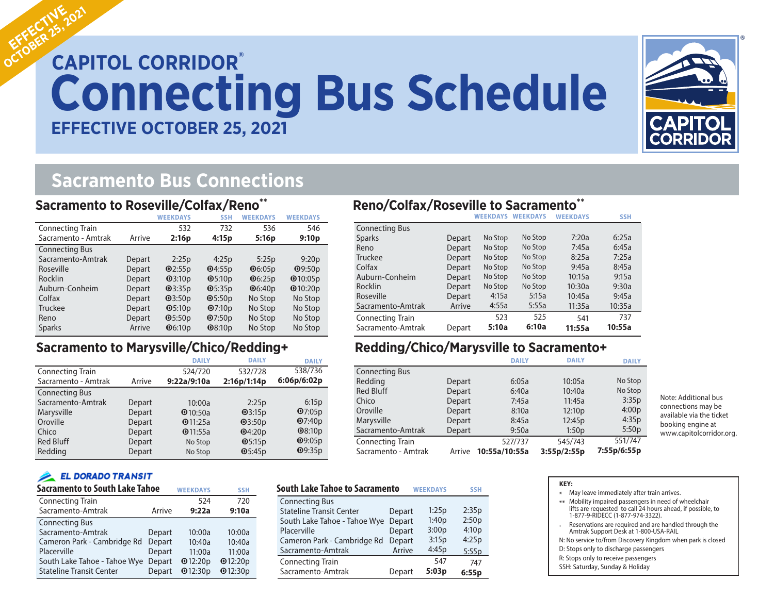# **CAPITOL CORRIDOR® Connecting Bus Schedule EFFECTIVE OCTOBER 25, 2021**



## **Sacramento Bus Connections**

#### **Sacramento to Roseville/Colfax/Reno\*\***

|                         |        | <b>WEEKDAYS</b>                     | <b>SSH</b>   | <b>WEEKDAYS</b>         | <b>WEEKDAYS</b>   |
|-------------------------|--------|-------------------------------------|--------------|-------------------------|-------------------|
| <b>Connecting Train</b> |        | 532                                 | 732          | 536                     | 546               |
| Sacramento - Amtrak     | Arrive | 2:16p                               | 4:15p        | 5:16p                   | 9:10 <sub>p</sub> |
| <b>Connecting Bus</b>   |        |                                     |              |                         |                   |
| Sacramento-Amtrak       | Depart | 2:25p                               | 4:25p        | 5:25p                   | 9:20p             |
| Roseville               | Depart | Q2:55p                              | Q4:55p       | Q6:05p                  | Q9:50p            |
| Rocklin                 | Depart | Q3:10p                              | Q5:10p       | $\mathbf{\Theta}$ 6:25p | $Q$ 10:05p        |
| Auburn-Conheim          | Depart | Q3:35p                              | $\Phi$ 5:35p | $\Phi$ 6:40p            | $Q$ 10:20p        |
| Colfax                  | Depart | Q3:50p                              | $\Phi$ 5:50p | No Stop                 | No Stop           |
| Truckee                 | Depart | Q5:10p                              | Q7:10p       | No Stop                 | No Stop           |
| Reno                    | Depart | Q5:50p                              | Q7:50p       | No Stop                 | No Stop           |
| <b>Sparks</b>           | Arrive | $\mathbf{\Theta}$ 6:10 <sub>p</sub> | Q8:10p       | No Stop                 | No Stop           |

### **Sacramento to Marysville/Chico/Redding+**

|                         |        | <b>DAILY</b> | <b>DAILY</b> | <b>DAILY</b>  |
|-------------------------|--------|--------------|--------------|---------------|
| <b>Connecting Train</b> |        | 524/720      | 532/728      | 538/736       |
| Sacramento - Amtrak     | Arrive | 9:22a/9:10a  | 2:16p/1:14p  | 6:06p/6:02p   |
| <b>Connecting Bus</b>   |        |              |              |               |
| Sacramento-Amtrak       | Depart | 10:00a       | 2:25p        | 6:15p         |
| Marysville              | Depart | @10:50a      | Q3:15p       | Q7:05p        |
| Oroville                | Depart | Q11:25a      | Q3:50p       | Q7:40p        |
| Chico                   | Depart | Q11:55a      | Q4:20p       | Q8:10p        |
| <b>Red Bluff</b>        | Depart | No Stop      | Q5:15p       | Q9:05p        |
| Redding                 | Depart | No Stop      | O5:45p       | <b>@9:35p</b> |

#### **EL DORADO TRANSIT**

| <b>Sacramento to South Lake Tahoe</b> | <b>WEEKDAYS</b> | <b>SSH</b> |         |
|---------------------------------------|-----------------|------------|---------|
| <b>Connecting Train</b>               |                 | 524        | 720     |
| Sacramento-Amtrak                     | Arrive          | 9:22a      | 9:10a   |
| <b>Connecting Bus</b>                 |                 |            |         |
| Sacramento-Amtrak                     | Depart          | 10:00a     | 10:00a  |
| Cameron Park - Cambridge Rd           | Depart          | 10:40a     | 10:40a  |
| Placerville                           | Depart          | 11:00a     | 11:00a  |
| South Lake Tahoe - Tahoe Wye          | Depart          | Q12:20p    | Q12:20p |
| <b>Stateline Transit Center</b>       | Depart          | Q12:30p    | Q12:30p |

## **Reno/Colfax/Roseville to Sacramento\*\***

|                       |        | <b>WEEKDAYS</b> | <b>WEEKDAYS</b> | <b>WEEKDAYS</b> | <b>SSH</b> |
|-----------------------|--------|-----------------|-----------------|-----------------|------------|
| <b>Connecting Bus</b> |        |                 |                 |                 |            |
| <b>Sparks</b>         | Depart | No Stop         | No Stop         | 7:20a           | 6:25a      |
| Reno                  | Depart | No Stop         | No Stop         | 7:45a           | 6:45a      |
| <b>Truckee</b>        | Depart | No Stop         | No Stop         | 8:25a           | 7:25a      |
| Colfax                | Depart | No Stop         | No Stop         | 9:45a           | 8:45a      |
| Auburn-Conheim        | Depart | No Stop         | No Stop         | 10:15a          | 9:15a      |
| <b>Rocklin</b>        | Depart | No Stop         | No Stop         | 10:30a          | 9:30a      |
| Roseville             | Depart | 4:15a           | 5:15a           | 10:45a          | 9:45a      |
| Sacramento-Amtrak     | Arrive | 4:55a           | 5:55a           | 11:35a          | 10:35a     |
| Connecting Train      |        | 523             | 525             | 541             | 737        |
| Sacramento-Amtrak     | Depart | 5:10a           | 6:10a           | 11:55a          | 10:55a     |

### **Redding/Chico/Marysville to Sacramento+**

|                         |        | <b>DAILY</b>  | <b>DAILY</b> | <b>DAILY</b>      |
|-------------------------|--------|---------------|--------------|-------------------|
| <b>Connecting Bus</b>   |        |               |              |                   |
| Redding                 | Depart | 6:05a         | 10:05a       | No Stop           |
| <b>Red Bluff</b>        | Depart | 6:40a         | 10:40a       | No Stop           |
| Chico                   | Depart | 7:45a         | 11:45a       | 3:35p             |
| Oroville                | Depart | 8:10a         | 12:10p       | 4:00 <sub>p</sub> |
| Marysville              | Depart | 8:45a         | 12:45p       | 4:35p             |
| Sacramento-Amtrak       | Depart | 9:50a         | 1:50p        | 5:50p             |
| <b>Connecting Train</b> |        | 527/737       | 545/743      | 551/747           |
| Sacramento - Amtrak     | Arrive | 10:55a/10:55a | 3:55p/2:55p  | 7:55p/6:55p       |

| <b>South Lake Tahoe to Sacramento</b> | <b>SSH</b> |       |       |
|---------------------------------------|------------|-------|-------|
| <b>Connecting Bus</b>                 |            |       |       |
| <b>Stateline Transit Center</b>       | Depart     | 1:25p | 2:35p |
| South Lake Tahoe - Tahoe Wye          | Depart     | 1:40p | 2:50p |
| Placerville                           | Depart     | 3:00p | 4:10p |
| Cameron Park - Cambridge Rd           | Depart     | 3:15p | 4:25p |
| Sacramento-Amtrak                     | Arrive     | 4:45p | 5:55p |
| <b>Connecting Train</b>               |            | 547   | 747   |
| Sacramento-Amtrak                     | Depart     | 5:03p | 6:55p |

| Note: Additional bus     |
|--------------------------|
| connections may be       |
| available via the ticket |
| booking engine at        |
| www.capitolcorridor.org. |

| <b>KEY:</b> |                                                                                                                                                       |
|-------------|-------------------------------------------------------------------------------------------------------------------------------------------------------|
| ⋇           | May leave immediately after train arrives.                                                                                                            |
| $***$       | Mobility impaired passengers in need of wheelchair<br>lifts are requested to call 24 hours ahead, if possible, to<br>1-877-9-RIDECC (1-877-974-3322). |
|             | Reservations are required and are handled through the<br>Amtrak Support Desk at 1-800-USA-RAIL                                                        |
|             | N: No service to/from Discovery Kingdom when park is closed                                                                                           |
|             | D: Stops only to discharge passengers                                                                                                                 |
|             | R: Stops only to receive passengers                                                                                                                   |
|             | SSH: Saturday, Sunday & Holiday                                                                                                                       |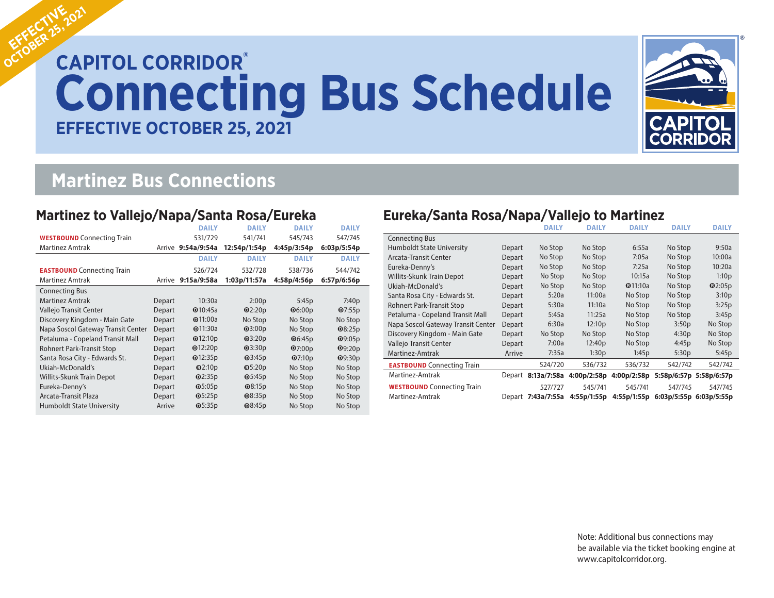# **CAPITOL CORRIDOR®**<br> **CAPITOL CORRIDOR® Connecting Bus Schedule EFFECTIVE OCTOBER 25, 2021**



## **Martinez Bus Connections**

### **Martinez to Vallejo/Napa/Santa Rosa/Eureka**

|                                    |        | <b>DAILY</b>       | <b>DAILY</b> | <b>DAILY</b>  | <b>DAILY</b>  |
|------------------------------------|--------|--------------------|--------------|---------------|---------------|
| <b>WESTBOUND</b> Connecting Train  |        | 531/729            | 541/741      | 545/743       | 547/745       |
| <b>Martinez Amtrak</b>             |        | Arrive 9:54a/9:54a | 12:54p/1:54p | 4:45p/3:54p   | 6:03p/5:54p   |
|                                    |        | <b>DAILY</b>       | <b>DAILY</b> | <b>DAILY</b>  | <b>DAILY</b>  |
| <b>EASTBOUND</b> Connecting Train  |        | 526/724            | 532/728      | 538/736       | 544/742       |
| <b>Martinez Amtrak</b>             | Arrive | 9:15a/9:58a        | 1:03p/11:57a | 4:58p/4:56p   | 6:57p/6:56p   |
| <b>Connecting Bus</b>              |        |                    |              |               |               |
| <b>Martinez Amtrak</b>             | Depart | 10:30a             | 2:00p        | 5:45p         | 7:40p         |
| Vallejo Transit Center             | Depart | Q10:45a            | Q2:20p       | Q6:00p        | Q7:55p        |
| Discovery Kingdom - Main Gate      | Depart | $Q$ 11:00a         | No Stop      | No Stop       | No Stop       |
| Napa Soscol Gateway Transit Center | Depart | Q11:30a            | Q3:00p       | No Stop       | $Q$ 8:25p     |
| Petaluma - Copeland Transit Mall   | Depart | Q12:10p            | Q3:20p       | <b>@6:45p</b> | <b>@9:05p</b> |
| Rohnert Park-Transit Stop          | Depart | Q12:20p            | Q3:30p       | Q7:00p        | Q9:20p        |
| Santa Rosa City - Edwards St.      | Depart | Q12:35p            | Q3:45p       | Q7:10p        | Q9:30p        |
| Ukiah-McDonald's                   | Depart | Q2:10p             | Q5:20p       | No Stop       | No Stop       |
| <b>Willits-Skunk Train Depot</b>   | Depart | Q2:35p             | Q5:45p       | No Stop       | No Stop       |
| Eureka-Denny's                     | Depart | $\Theta$ 5:05p     | $Q$ 8:15p    | No Stop       | No Stop       |
| Arcata-Transit Plaza               | Depart | $\Phi$ 5:25p       | $Q$ 8:35p    | No Stop       | No Stop       |
| <b>Humboldt State University</b>   | Arrive | Q5:35p             | $Q$ 8:45p    | No Stop       | No Stop       |

## **Eureka/Santa Rosa/Napa/Vallejo to Martinez**

|                                    |        | <b>DAILY</b>       | <b>DAILY</b>                   | <b>DAILY</b> | <b>DAILY</b>                        | <b>DAILY</b>            |
|------------------------------------|--------|--------------------|--------------------------------|--------------|-------------------------------------|-------------------------|
| <b>Connecting Bus</b>              |        |                    |                                |              |                                     |                         |
| Humboldt State University          | Depart | No Stop            | No Stop                        | 6:55a        | No Stop                             | 9:50a                   |
| Arcata-Transit Center              | Depart | No Stop            | No Stop                        | 7:05a        | No Stop                             | 10:00a                  |
| Eureka-Denny's                     | Depart | No Stop            | No Stop                        | 7:25a        | No Stop                             | 10:20a                  |
| Willits-Skunk Train Depot          | Depart | No Stop            | No Stop                        | 10:15a       | No Stop                             | 1:10p                   |
| Ukiah-McDonald's                   | Depart | No Stop            | No Stop                        | Q11:10a      | No Stop                             | Q2:05p                  |
| Santa Rosa City - Edwards St.      | Depart | 5:20a              | 11:00a                         | No Stop      | No Stop                             | 3:10 <sub>p</sub>       |
| Rohnert Park-Transit Stop          | Depart | 5:30a              | 11:10a                         | No Stop      | No Stop                             | 3:25p                   |
| Petaluma - Copeland Transit Mall   | Depart | 5:45a              | 11:25a                         | No Stop      | No Stop                             | 3:45p                   |
| Napa Soscol Gateway Transit Center | Depart | 6:30a              | 12:10p                         | No Stop      | 3:50p                               | No Stop                 |
| Discovery Kingdom - Main Gate      | Depart | No Stop            | No Stop                        | No Stop      | 4:30p                               | No Stop                 |
| Vallejo Transit Center             | Depart | 7:00a              | 12:40p                         | No Stop      | 4:45p                               | No Stop                 |
| Martinez-Amtrak                    | Arrive | 7:35a              | 1:30p                          | 1:45p        | 5:30p                               | 5:45p                   |
| <b>EASTBOUND</b> Connecting Train  |        | 524/720            | 536/732                        | 536/732      | 542/742                             | 542/742                 |
| Martinez-Amtrak                    |        |                    | Depart 8:13a/7:58a 4:00p/2:58p | 4:00p/2:58p  |                                     | 5:58p/6:57p 5:58p/6:57p |
| <b>WESTBOUND</b> Connecting Train  |        | 527/727            | 545/741                        | 545/741      | 547/745                             | 547/745                 |
| Martinez-Amtrak                    |        | Depart 7:43a/7:55a | 4:55p/1:55p                    |              | 4:55p/1:55p 6:03p/5:55p 6:03p/5:55p |                         |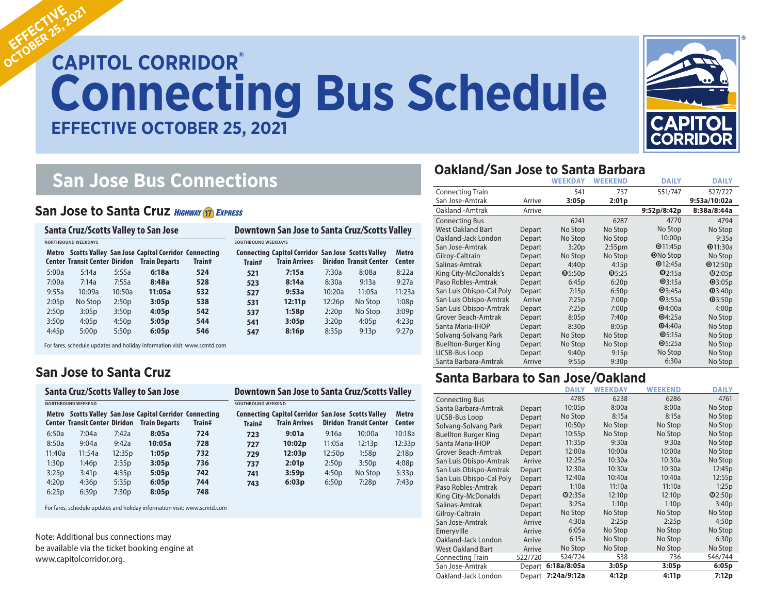# **CAPITOL CORRIDOR® Connecting Bus Schedule Connecting Bus Schedule EFFECTIVE MARCH 29, 2020 EFFECTIVE OCTOBER 25, 2021**



# **San Jose Bus Connections**

#### **San Jose to Santa Cruz HIGHWAY 17 EXPRESS**

| Santa Cruz/Scotts Valley to San Jose<br><b>NORTHBOUND WEEKDAYS</b> |         |                   |        | Downtown San Jose to Santa Cruz/Scotts Valley<br><b>SOUTHBOUND WEEKDAYS</b> |     |        |        |         |        |
|--------------------------------------------------------------------|---------|-------------------|--------|-----------------------------------------------------------------------------|-----|--------|--------|---------|--------|
|                                                                    |         |                   |        |                                                                             |     |        |        |         |        |
| 5:00a                                                              | 5:14a   | 5:55a             | 6:18a  | 524                                                                         | 521 | 7:15a  | 7:30a  | 8:08a   | 8:22a  |
| 7:00a                                                              | 7:14a   | 7:55a             | 8:48a  | 528                                                                         | 523 | 8:14a  | 8:30a  | 9:13a   | 9:27a  |
| 9:55a                                                              | 10:09a  | 10:50a            | 11:05a | 532                                                                         | 527 | 9:53a  | 10:20a | 11:05a  | 11:23a |
| 2:05p                                                              | No Stop | 2:50p             | 3:05p  | 538                                                                         | 531 | 12:11p | 12:26p | No Stop | 1:08p  |
| 2:50p                                                              | 3:05p   | 3:50 <sub>p</sub> | 4:05p  | 542                                                                         | 537 | 1:58p  | 2:20p  | No Stop | 3:09p  |
| 3:50p                                                              | 4:05p   | 4:50p             | 5:05p  | 544                                                                         | 541 | 3:05p  | 3:20p  | 4:05p   | 4:23p  |
| 4:45p                                                              | 5:00p   | 5:50p             | 6:05p  | 546                                                                         | 547 | 8:16p  | 8:35p  | 9:13p   | 9:27p  |

For fares, schedule updates and holiday information visit: www.scmtd.com

#### **San Jose to Santa Cruz**

#### **Santa Cruz/Scotts Valley to San Jose**

|        | <b>NORTHBOUND WEEKEND</b>            | <b>SOUTHBOUND WEEKEND</b> |                                                                                  |        |                                         |                    |
|--------|--------------------------------------|---------------------------|----------------------------------------------------------------------------------|--------|-----------------------------------------|--------------------|
|        | <b>Center Transit Center Diridon</b> |                           | Metro Scotts Valley San Jose Capitol Corridor Connecting<br><b>Train Departs</b> | Train# | <b>Connecting Capitol Cor</b><br>Train# | <b>Train Arriv</b> |
| 6:50a  | 7:04a                                | 7:42a                     | 8:05a                                                                            | 724    | 723                                     | 9:01a              |
| 8:50a  | 9:04a                                | 9:42a                     | 10:05a                                                                           | 728    | 727                                     | 10:02 <sub>F</sub> |
| 11:40a | 11:54a                               | 12:35p                    | 1:05p                                                                            | 732    | 729                                     | 12:03 <sub>F</sub> |
| 1:30p  | 1:46p                                | 2:35p                     | 3:05p                                                                            | 736    | 737                                     | 2:01p              |
| 3:25p  | 3:41p                                | 4:35p                     | 5:05p                                                                            | 742    | 741                                     | 3:59p              |
| 4:20p  | 4:36p                                | 5:35p                     | 6:05p                                                                            | 744    | 743                                     | 6:03p              |
| 6:25p  | 6:39p                                | 7:30p                     | 8:05p                                                                            | 748    |                                         |                    |

| <b>SOUTHBOUND WEEKEND</b> |                                                                                   |        |                               |                               |
|---------------------------|-----------------------------------------------------------------------------------|--------|-------------------------------|-------------------------------|
| Train#                    | <b>Connecting Capitol Corridor San Jose Scotts Valley</b><br><b>Train Arrives</b> |        | <b>Diridon Transit Center</b> | <b>Metro</b><br><b>Center</b> |
| 723                       | 9:01a                                                                             | 9:16a  | 10:00a                        | 10:18a                        |
| 727                       | 10:02p                                                                            | 11:05a | 12:13p                        | 12:33p                        |
| 729                       | 12:03p                                                                            | 12:50p | 1:58p                         | 2:18p                         |
| 737                       | 2:01p                                                                             | 2:50p  | 3:50p                         | 4:08p                         |
| 741                       | 3:59p                                                                             | 4:50p  | No Stop                       | 5:33p                         |

6:50p

7:28p

7:43p

**Downtown San Jose to Santa Cruz/Scotts Valley**

For fares, schedule updates and holiday information visit: www.scmtd.com

Note: Additional bus connections may be available via the ticket booking engine at www.capitolcorridor.org.

#### **Oakland/San Jose to Santa Barbara**

|                             |        | <b>WEEKDAY</b> | <b>WEEKEND</b>     | <b>DAILY</b>    | <b>DAILY</b>  |
|-----------------------------|--------|----------------|--------------------|-----------------|---------------|
| <b>Connecting Train</b>     |        | 541            | 737                | 551/747         | 527/727       |
| San Jose-Amtrak             | Arrive | 3:05p          | 2:01p              |                 | 9:53a/10:02a  |
| Oakland - Amtrak            | Arrive |                |                    | 9:52p/8:42p     | 8:38a/8:44a   |
| <b>Connecting Bus</b>       |        | 6241           | 6287               | 4770            | 4794          |
| <b>West Oakland Bart</b>    | Depart | No Stop        | No Stop            | No Stop         | No Stop       |
| Oakland-Jack London         | Depart | No Stop        | No Stop            | 10:00p          | 9:35a         |
| San Jose-Amtrak             | Depart | 3:20p          | 2:55 <sub>pm</sub> | Q11:45p         | Q11:30a       |
| Gilroy-Caltrain             | Depart | No Stop        | No Stop            | <b>ONo Stop</b> | No Stop       |
| Salinas-Amtrak              | Depart | 4:40p          | 4:15p              | Q12:45a         | Q12:50p       |
| King City-McDonalds's       | Depart | Q5:50p         | Q5:25              | Q2:15a          | @2:05p        |
| Paso Robles-Amtrak          | Depart | 6:45p          | 6:20p              | Q3:15a          | Q3:05p        |
| San Luis Obispo-Cal Poly    | Depart | 7:15p          | 6:50p              | Q3:45a          | <b>@3:40p</b> |
| San Luis Obispo-Amtrak      | Arrive | 7:25p          | 7:00p              | Q3:55a          | Q3:50p        |
| San Luis Obispo-Amtrak      | Depart | 7:25p          | 7:00p              | Q4:00a          | 4:00p         |
| Grover Beach-Amtrak         | Depart | 8:05p          | 7:40p              | Q4:25a          | No Stop       |
| Santa Maria-IHOP            | Depart | 8:30p          | 8:05p              | Q4:40a          | No Stop       |
| Solvang-Solvang Park        | Depart | No Stop        | No Stop            | Q5:15a          | No Stop       |
| <b>Buellton-Burger King</b> | Depart | No Stop        | No Stop            | Q5:25a          | No Stop       |
| <b>UCSB-Bus Loop</b>        | Depart | 9:40p          | 9:15p              | No Stop         | No Stop       |
| Santa Barbara-Amtrak        | Arrive | 9:55p          | 9:30p              | 6:30a           | No Stop       |

#### **Santa Barbara to San Jose/Oakland**

|                             |         | <b>DAILY</b> | <b>WEEKDAY</b>     | <b>WEEKEND</b>     | <b>DAILY</b> |
|-----------------------------|---------|--------------|--------------------|--------------------|--------------|
| <b>Connecting Bus</b>       |         | 4785         | 6238               | 6286               | 4761         |
| Santa Barbara-Amtrak        | Depart  | 10:05p       | 8:00a              | 8:00a              | No Stop      |
| <b>UCSB-Bus Loop</b>        | Depart  | No Stop      | 8:15a              | 8:15a              | No Stop      |
| Solvang-Solvang Park        | Depart  | 10:50p       | No Stop            | No Stop            | No Stop      |
| <b>Buellton Burger King</b> | Depart  | 10:55p       | No Stop            | No Stop            | No Stop      |
| Santa Maria-IHOP            | Depart  | 11:35p       | 9:30a              | 9:30a              | No Stop      |
| Grover Beach-Amtrak         | Depart  | 12:00a       | 10:00a             | 10:00a             | No Stop      |
| San Luis Obispo-Amtrak      | Arrive  | 12:25a       | 10:30a             | 10:30a             | No Stop      |
| San Luis Obispo-Amtrak      | Depart  | 12:30a       | 10:30a             | 10:30a             | 12:45p       |
| San Luis Obispo-Cal Poly    | Depart  | 12:40a       | 10:40a             | 10:40a             | 12:55p       |
| Paso Robles-Amtrak          | Depart  | 1:10a        | 11:10a             | 11:10a             | 1:25p        |
| King City-McDonalds         | Depart  | $\Phi$ 2:35a | 12:10 <sub>p</sub> | 12:10 <sub>p</sub> | $\Phi$ 2:50p |
| Salinas-Amtrak              | Depart  | 3:25a        | 1:10p              | 1:10p              | 3:40p        |
| Gilroy-Caltrain             | Depart  | No Stop      | No Stop            | No Stop            | No Stop      |
| San Jose-Amtrak             | Arrive  | 4:30a        | 2:25p              | 2:25p              | 4:50p        |
| Emeryville                  | Arrive  | 6:05a        | No Stop            | No Stop            | No Stop      |
| Oakland-Jack London         | Arrive  | 6:15a        | No Stop            | No Stop            | 6:30p        |
| <b>West Oakland Bart</b>    | Arrive  | No Stop      | No Stop            | No Stop            | No Stop      |
| <b>Connecting Train</b>     | 522/720 | 524/724      | 538                | 736                | 546/744      |
| San Jose-Amtrak             | Depart  | 6:18a/8:05a  | 3:05p              | 3:05p              | 6:05p        |
| Oakland-Jack London         | Depart  | 7:24a/9:12a  | 4:12p              | 4:11p              | 7:12p        |